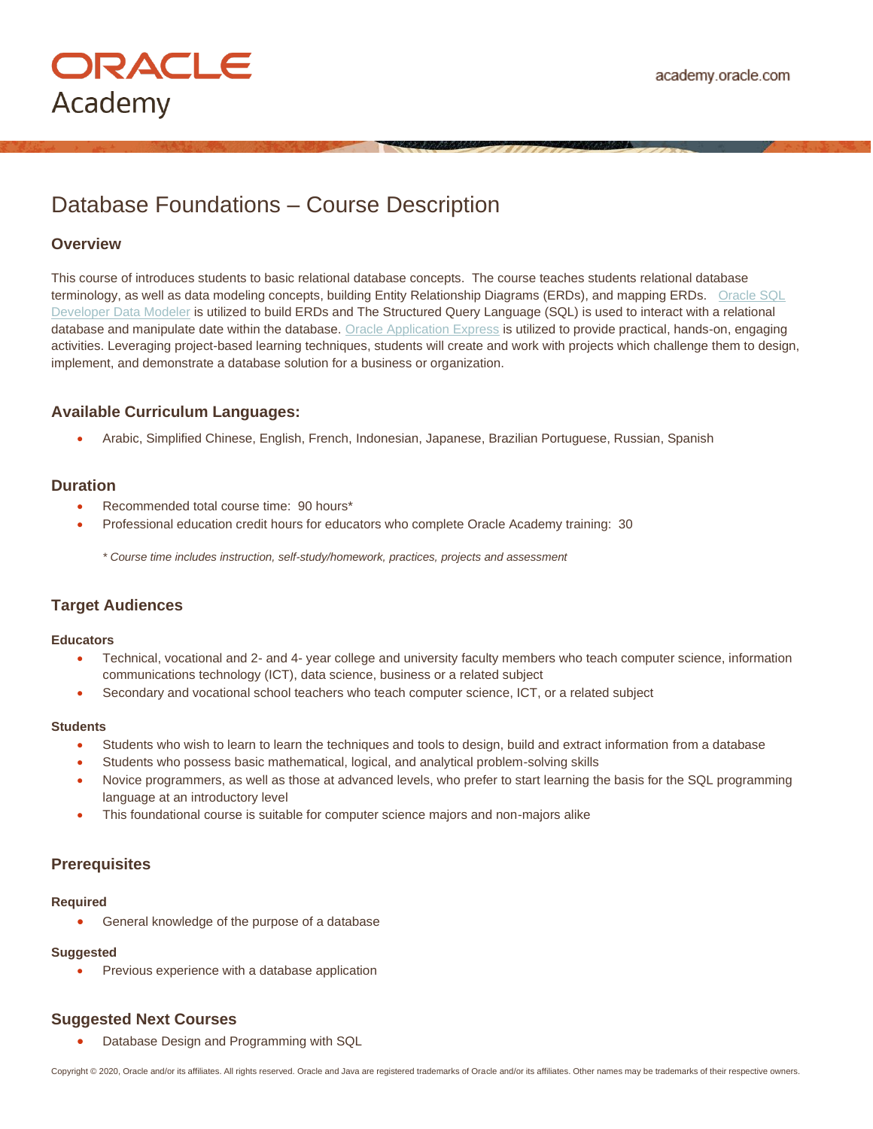# Database Foundations – Course Description

# **Overview**

This course of introduces students to basic relational database concepts. The course teaches students relational database terminology, as well as data modeling concepts, building Entity Relationship Diagrams (ERDs), and mapping ERDs. [Oracle SQL](http://www.oracle.com/technetwork/developer-tools/datamodeler/overview/index.html)  [Developer Data Modeler](http://www.oracle.com/technetwork/developer-tools/datamodeler/overview/index.html) is utilized to build ERDs and The Structured Query Language (SQL) is used to interact with a relational database and manipulate date within the database. [Oracle Application Express](https://iacademy.oracle.com/) is utilized to provide practical, hands-on, engaging activities. Leveraging project-based learning techniques, students will create and work with projects which challenge them to design, implement, and demonstrate a database solution for a business or organization.

# **Available Curriculum Languages:**

• Arabic, Simplified Chinese, English, French, Indonesian, Japanese, Brazilian Portuguese, Russian, Spanish

# **Duration**

- Recommended total course time: 90 hours\*
- Professional education credit hours for educators who complete Oracle Academy training: 30

*\* Course time includes instruction, self-study/homework, practices, projects and assessment*

# **Target Audiences**

#### **Educators**

- Technical, vocational and 2- and 4- year college and university faculty members who teach computer science, information communications technology (ICT), data science, business or a related subject
- Secondary and vocational school teachers who teach computer science, ICT, or a related subject

#### **Students**

- Students who wish to learn to learn the techniques and tools to design, build and extract information from a database
- Students who possess basic mathematical, logical, and analytical problem-solving skills
- Novice programmers, as well as those at advanced levels, who prefer to start learning the basis for the SQL programming language at an introductory level
- This foundational course is suitable for computer science majors and non-majors alike

# **Prerequisites**

#### **Required**

• General knowledge of the purpose of a database

#### **Suggested**

Previous experience with a database application

# **Suggested Next Courses**

• Database Design and Programming with SQL